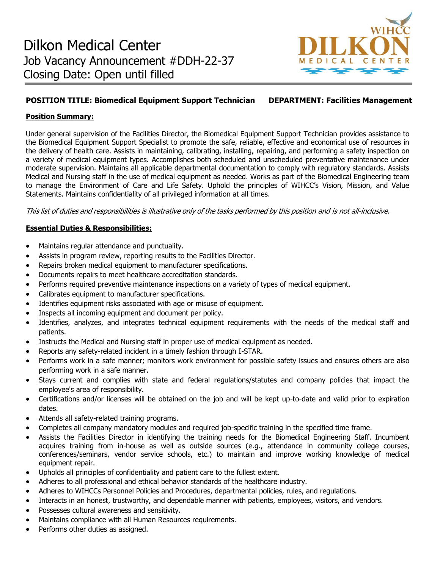

# **POSITION TITLE: Biomedical Equipment Support Technician DEPARTMENT: Facilities Management**

# **Position Summary:**

Under general supervision of the Facilities Director, the Biomedical Equipment Support Technician provides assistance to the Biomedical Equipment Support Specialist to promote the safe, reliable, effective and economical use of resources in the delivery of health care. Assists in maintaining, calibrating, installing, repairing, and performing a safety inspection on a variety of medical equipment types. Accomplishes both scheduled and unscheduled preventative maintenance under moderate supervision. Maintains all applicable departmental documentation to comply with regulatory standards. Assists Medical and Nursing staff in the use of medical equipment as needed. Works as part of the Biomedical Engineering team to manage the Environment of Care and Life Safety. Uphold the principles of WIHCC's Vision, Mission, and Value Statements. Maintains confidentiality of all privileged information at all times.

This list of duties and responsibilities is illustrative only of the tasks performed by this position and is not all-inclusive.

## **Essential Duties & Responsibilities:**

- Maintains regular attendance and punctuality.
- Assists in program review, reporting results to the Facilities Director.
- Repairs broken medical equipment to manufacturer specifications.
- Documents repairs to meet healthcare accreditation standards.
- Performs required preventive maintenance inspections on a variety of types of medical equipment.
- Calibrates equipment to manufacturer specifications.
- Identifies equipment risks associated with age or misuse of equipment.
- Inspects all incoming equipment and document per policy.
- Identifies, analyzes, and integrates technical equipment requirements with the needs of the medical staff and patients.
- Instructs the Medical and Nursing staff in proper use of medical equipment as needed.
- Reports any safety-related incident in a timely fashion through I-STAR.
- Performs work in a safe manner; monitors work environment for possible safety issues and ensures others are also performing work in a safe manner.
- Stays current and complies with state and federal regulations/statutes and company policies that impact the employee's area of responsibility.
- Certifications and/or licenses will be obtained on the job and will be kept up-to-date and valid prior to expiration dates.
- Attends all safety-related training programs.
- Completes all company mandatory modules and required job-specific training in the specified time frame.
- Assists the Facilities Director in identifying the training needs for the Biomedical Engineering Staff. Incumbent acquires training from in-house as well as outside sources (e.g., attendance in community college courses, conferences/seminars, vendor service schools, etc.) to maintain and improve working knowledge of medical equipment repair.
- Upholds all principles of confidentiality and patient care to the fullest extent.
- Adheres to all professional and ethical behavior standards of the healthcare industry.
- Adheres to WIHCCs Personnel Policies and Procedures, departmental policies, rules, and regulations.
- Interacts in an honest, trustworthy, and dependable manner with patients, employees, visitors, and vendors.
- Possesses cultural awareness and sensitivity.
- Maintains compliance with all Human Resources requirements.
- Performs other duties as assigned.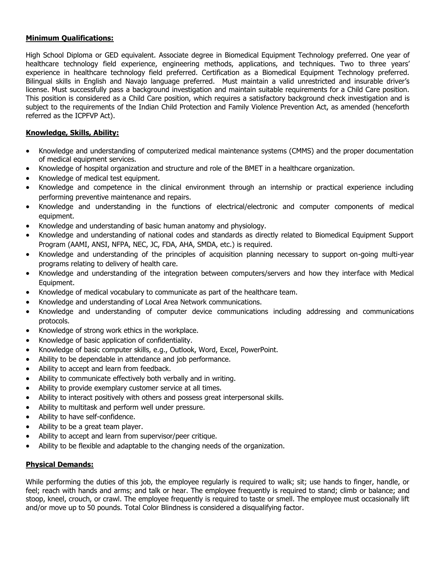### **Minimum Qualifications:**

High School Diploma or GED equivalent. Associate degree in Biomedical Equipment Technology preferred. One year of healthcare technology field experience, engineering methods, applications, and techniques. Two to three years' experience in healthcare technology field preferred. Certification as a Biomedical Equipment Technology preferred. Bilingual skills in English and Navajo language preferred. Must maintain a valid unrestricted and insurable driver's license. Must successfully pass a background investigation and maintain suitable requirements for a Child Care position. This position is considered as a Child Care position, which requires a satisfactory background check investigation and is subject to the requirements of the Indian Child Protection and Family Violence Prevention Act, as amended (henceforth referred as the ICPFVP Act).

# **Knowledge, Skills, Ability:**

- Knowledge and understanding of computerized medical maintenance systems (CMMS) and the proper documentation of medical equipment services.
- Knowledge of hospital organization and structure and role of the BMET in a healthcare organization.
- Knowledge of medical test equipment.
- Knowledge and competence in the clinical environment through an internship or practical experience including performing preventive maintenance and repairs.
- Knowledge and understanding in the functions of electrical/electronic and computer components of medical equipment.
- Knowledge and understanding of basic human anatomy and physiology.
- Knowledge and understanding of national codes and standards as directly related to Biomedical Equipment Support Program (AAMI, ANSI, NFPA, NEC, JC, FDA, AHA, SMDA, etc.) is required.
- Knowledge and understanding of the principles of acquisition planning necessary to support on-going multi-year programs relating to delivery of health care.
- Knowledge and understanding of the integration between computers/servers and how they interface with Medical Equipment.
- Knowledge of medical vocabulary to communicate as part of the healthcare team.
- Knowledge and understanding of Local Area Network communications.
- Knowledge and understanding of computer device communications including addressing and communications protocols.
- Knowledge of strong work ethics in the workplace.
- Knowledge of basic application of confidentiality.
- Knowledge of basic computer skills, e.g., Outlook, Word, Excel, PowerPoint.
- Ability to be dependable in attendance and job performance.
- Ability to accept and learn from feedback.
- Ability to communicate effectively both verbally and in writing.
- Ability to provide exemplary customer service at all times.
- Ability to interact positively with others and possess great interpersonal skills.
- Ability to multitask and perform well under pressure.
- Ability to have self-confidence.
- Ability to be a great team player.
- Ability to accept and learn from supervisor/peer critique.
- Ability to be flexible and adaptable to the changing needs of the organization.

### **Physical Demands:**

While performing the duties of this job, the employee regularly is required to walk; sit; use hands to finger, handle, or feel; reach with hands and arms; and talk or hear. The employee frequently is required to stand; climb or balance; and stoop, kneel, crouch, or crawl. The employee frequently is required to taste or smell. The employee must occasionally lift and/or move up to 50 pounds. Total Color Blindness is considered a disqualifying factor.